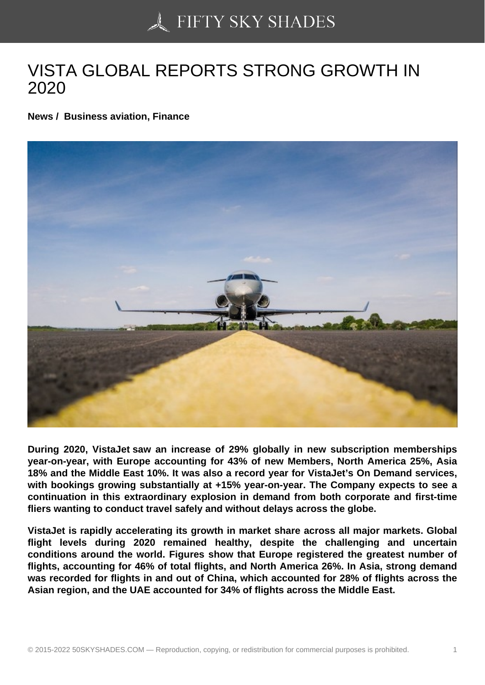## [VISTA GLOBAL REPO](https://50skyshades.com)RTS STRONG GROWTH IN 2020

News / Business aviation, Finance

During 2020, VistaJet saw an increase of 29% globally in new subscription memberships year-on-year, with Europe accounting for 43% of new Members, North America 25%, Asia 18% and the Middle East 10%. It was also a record year for VistaJet's On Demand services, with bookings growing substantially at +15% year-on-year. The Company expects to see a continuation in this extraordinary explosion in demand from both corporate and first-time fliers wanting to conduct travel safely and without delays across the globe.

VistaJet is rapidly accelerating its growth in market share across all major markets. Global flight levels during 2020 remained healthy, despite the challenging and uncertain conditions around the world. Figures show that Europe registered the greatest number of flights, accounting for 46% of total flights, and North America 26%. In Asia, strong demand was recorded for flights in and out of China, which accounted for 28% of flights across the Asian region, and the UAE accounted for 34% of flights across the Middle East.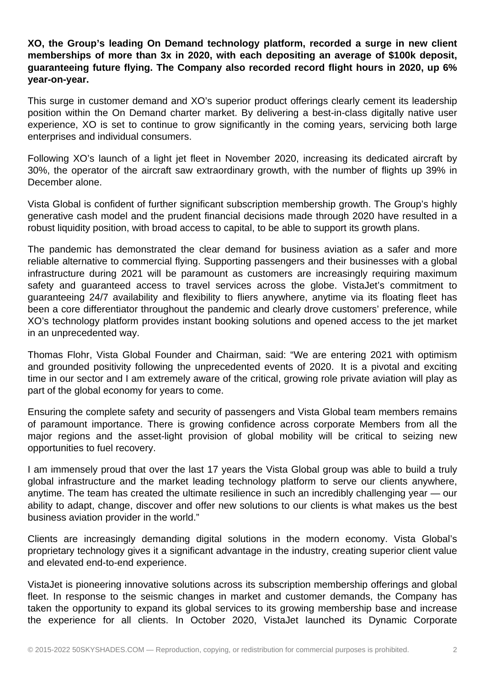**XO, the Group's leading On Demand technology platform, recorded a surge in new client memberships of more than 3x in 2020, with each depositing an average of \$100k deposit, guaranteeing future flying. The Company also recorded record flight hours in 2020, up 6% year-on-year.**

This surge in customer demand and XO's superior product offerings clearly cement its leadership position within the On Demand charter market. By delivering a best-in-class digitally native user experience, XO is set to continue to grow significantly in the coming years, servicing both large enterprises and individual consumers.

Following XO's launch of a light jet fleet in November 2020, increasing its dedicated aircraft by 30%, the operator of the aircraft saw extraordinary growth, with the number of flights up 39% in December alone.

Vista Global is confident of further significant subscription membership growth. The Group's highly generative cash model and the prudent financial decisions made through 2020 have resulted in a robust liquidity position, with broad access to capital, to be able to support its growth plans.

The pandemic has demonstrated the clear demand for business aviation as a safer and more reliable alternative to commercial flying. Supporting passengers and their businesses with a global infrastructure during 2021 will be paramount as customers are increasingly requiring maximum safety and guaranteed access to travel services across the globe. VistaJet's commitment to guaranteeing 24/7 availability and flexibility to fliers anywhere, anytime via its floating fleet has been a core differentiator throughout the pandemic and clearly drove customers' preference, while XO's technology platform provides instant booking solutions and opened access to the jet market in an unprecedented way.

Thomas Flohr, Vista Global Founder and Chairman, said: "We are entering 2021 with optimism and grounded positivity following the unprecedented events of 2020. It is a pivotal and exciting time in our sector and I am extremely aware of the critical, growing role private aviation will play as part of the global economy for years to come.

Ensuring the complete safety and security of passengers and Vista Global team members remains of paramount importance. There is growing confidence across corporate Members from all the major regions and the asset-light provision of global mobility will be critical to seizing new opportunities to fuel recovery.

I am immensely proud that over the last 17 years the Vista Global group was able to build a truly global infrastructure and the market leading technology platform to serve our clients anywhere, anytime. The team has created the ultimate resilience in such an incredibly challenging year — our ability to adapt, change, discover and offer new solutions to our clients is what makes us the best business aviation provider in the world."

Clients are increasingly demanding digital solutions in the modern economy. Vista Global's proprietary technology gives it a significant advantage in the industry, creating superior client value and elevated end-to-end experience.

VistaJet is pioneering innovative solutions across its subscription membership offerings and global fleet. In response to the seismic changes in market and customer demands, the Company has taken the opportunity to expand its global services to its growing membership base and increase the experience for all clients. In October 2020, VistaJet launched its Dynamic Corporate